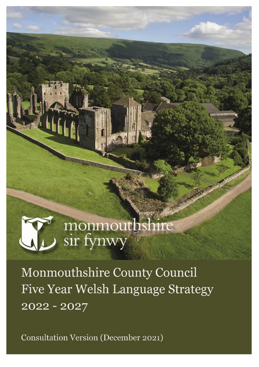# monmouthshire<br>sir fynwy

Monmouthshire County Council Five Year Welsh Language Strategy 2022 - 2027

Consultation Version (December 2021)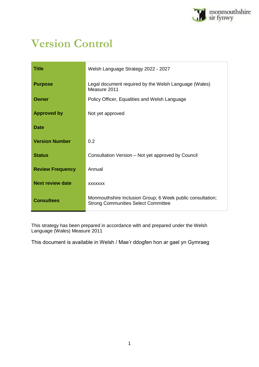

## **Version Control**

| <b>Title</b>            | Welsh Language Strategy 2022 - 2027                                                                      |
|-------------------------|----------------------------------------------------------------------------------------------------------|
| <b>Purpose</b>          | Legal document required by the Welsh Language (Wales)<br>Measure 2011                                    |
| Owner                   | Policy Officer, Equalities and Welsh Language                                                            |
| <b>Approved by</b>      | Not yet approved                                                                                         |
| <b>Date</b>             |                                                                                                          |
| <b>Version Number</b>   | 0.2                                                                                                      |
| <b>Status</b>           | Consultation Version – Not yet approved by Council                                                       |
| <b>Review Frequency</b> | Annual                                                                                                   |
| <b>Next review date</b> | <b>XXXXXXX</b>                                                                                           |
| <b>Consultees</b>       | Monmouthshire Inclusion Group; 6 Week public consultation;<br><b>Strong Communities Select Committee</b> |

This strategy has been prepared in accordance with and prepared under the Welsh Language (Wales) Measure 2011

This document is available in Welsh / Mae'r ddogfen hon ar gael yn Gymraeg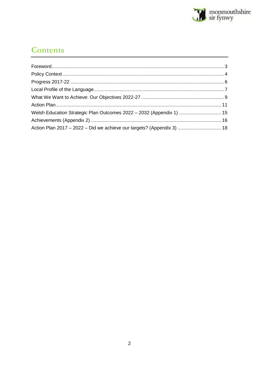

### **Contents**

| Welsh Education Strategic Plan Outcomes 2022 - 2032 (Appendix 1)  15   |  |
|------------------------------------------------------------------------|--|
|                                                                        |  |
| Action Plan 2017 - 2022 - Did we achieve our targets? (Appendix 3)  18 |  |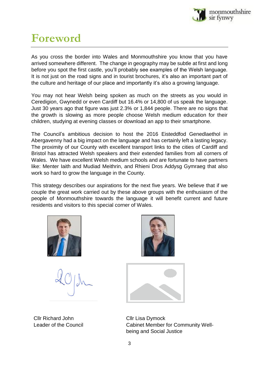

## <span id="page-3-0"></span>**Foreword**

As you cross the border into Wales and Monmouthshire you know that you have arrived somewhere different. The change in geography may be subtle at first and long before you spot the first castle, you'll probably see examples of the Welsh language. It is not just on the road signs and in tourist brochures, it's also an important part of the culture and heritage of our place and importantly it's also a growing language.

You may not hear Welsh being spoken as much on the streets as you would in Ceredigion, Gwynedd or even Cardiff but 16.4% or 14,800 of us speak the language. Just 30 years ago that figure was just 2.3% or 1,844 people. There are no signs that the growth is slowing as more people choose Welsh medium education for their children, studying at evening classes or download an app to their smartphone.

The Council's ambitious decision to host the 2016 Eisteddfod Genedlaethol in Abergavenny had a big impact on the language and has certainly left a lasting legacy. The proximity of our County with excellent transport links to the cities of Cardiff and Bristol has attracted Welsh speakers and their extended families from all corners of Wales. We have excellent Welsh medium schools and are fortunate to have partners like: Menter Iaith and Mudiad Meithrin, and Rhieni Dros Addysg Gymraeg that also work so hard to grow the language in the County.

This strategy describes our aspirations for the next five years. We believe that if we couple the great work carried out by these above groups with the enthusiasm of the people of Monmouthshire towards the language it will benefit current and future residents and visitors to this special corner of Wales.



Cllr Richard John Cllr Lisa Dymock





Leader of the Council **Cabinet Member for Community Well**being and Social Justice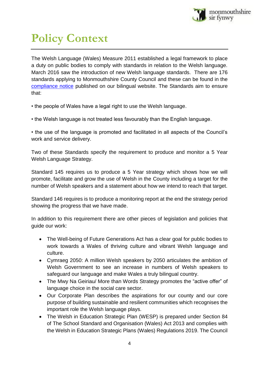

## <span id="page-4-0"></span>**Policy Context**

The Welsh Language (Wales) Measure 2011 established a legal framework to place a duty on public bodies to comply with standards in relation to the Welsh language. March 2016 saw the introduction of new Welsh language standards. There are 176 standards applying to Monmouthshire County Council and these can be found in the [compliance notice](https://www.monmouthshire.gov.uk/app/uploads/2021/06/Monmouthshire-Welsh-Language-Standards.pdf) published on our bilingual website. The Standards aim to ensure that:

- the people of Wales have a legal right to use the Welsh language.
- the Welsh language is not treated less favourably than the English language.

• the use of the language is promoted and facilitated in all aspects of the Council's work and service delivery.

Two of these Standards specify the requirement to produce and monitor a 5 Year Welsh Language Strategy.

Standard 145 requires us to produce a 5 Year strategy which shows how we will promote, facilitate and grow the use of Welsh in the County including a target for the number of Welsh speakers and a statement about how we intend to reach that target.

Standard 146 requires is to produce a monitoring report at the end the strategy period showing the progress that we have made.

In addition to this requirement there are other pieces of legislation and policies that guide our work:

- The Well-being of Future Generations Act has a clear goal for public bodies to work towards a Wales of thriving culture and vibrant Welsh language and culture.
- Cymraeg 2050: A million Welsh speakers by 2050 articulates the ambition of Welsh Government to see an increase in numbers of Welsh speakers to safeguard our language and make Wales a truly bilingual country.
- The Mwy Na Geiriau/ More than Words Strategy promotes the "active offer" of language choice in the social care sector.
- Our Corporate Plan describes the aspirations for our county and our core purpose of building sustainable and resilient communities which recognises the important role the Welsh language plays.
- The Welsh in Education Strategic Plan (WESP) is prepared under Section 84 of The School Standard and Organisation (Wales) Act 2013 and complies with the Welsh in Education Strategic Plans (Wales) Regulations 2019. The Council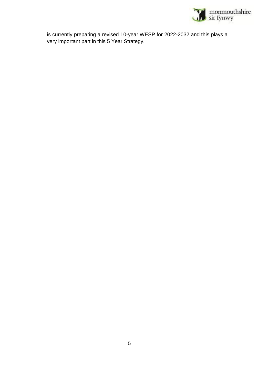

is currently preparing a revised 10-year WESP for 2022-2032 and this plays a very important part in this 5 Year Strategy.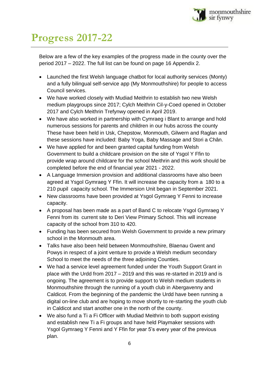

## <span id="page-6-0"></span>**Progress 2017-22**

Below are a few of the key examples of the progress made in the county over the period 2017 – 2022. The full list can be found on page 16 Appendix 2.

- Launched the first Welsh language chatbot for local authority services (Monty) and a fully bilingual self-service app (My Monmouthshire) for people to access Council services.
- We have worked closely with Mudiad Meithrin to establish two new Welsh medium playgroups since 2017; Cylch Meithrin Cil-y-Coed opened in October 2017 and Cylch Meithrin Trefynwy opened in April 2019.
- We have also worked in partnership with Cymraeg i Blant to arrange and hold numerous sessions for parents and children in our hubs across the county These have been held in Usk, Chepstow, Monmouth, Gilwern and Raglan and these sessions have included: Baby Yoga, Baby Massage and Stori a Chân.
- We have applied for and been granted capital funding from Welsh Government to build a childcare provision on the site of Ysgol Y Ffin to provide wrap around childcare for the school Meithrin and this work should be completed before the end of financial year 2021 - 2022.
- A Language Immersion provision and additional classrooms have also been agreed at Ysgol Gymraeg Y Ffin. It will increase the capacity from a 180 to a 210 pupil capacity school. The Immersion Unit began in September 2021.
- New classrooms have been provided at Ysgol Gymraeg Y Fenni to increase capacity.
- A proposal has been made as a part of Band C to relocate Ysgol Gymraeg Y Fenni from its current site to Deri View Primary School. This will increase capacity of the school from 310 to 420.
- Funding has been secured from Welsh Government to provide a new primary school in the Monmouth area.
- Talks have also been held between Monmouthshire, Blaenau Gwent and Powys in respect of a joint venture to provide a Welsh medium secondary School to meet the needs of the three adjoining Counties.
- We had a service level agreement funded under the Youth Support Grant in place with the Urdd from 2017 – 2019 and this was re-started in 2019 and is ongoing. The agreement is to provide support to Welsh medium students in Monmouthshire through the running of a youth club in Abergavenny and Caldicot. From the beginning of the pandemic the Urdd have been running a digital on-line club and are hoping to move shortly to re-starting the youth club in Caldicot and start another one in the north of the county.
- We also fund a Ti a Fi Officer with Mudiad Meithrin to both support existing and establish new Ti a Fi groups and have held Playmaker sessions with Ysgol Gymraeg Y Fenni and Y Ffin for year 5's every year of the previous plan.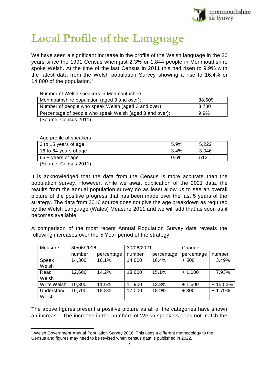

## <span id="page-7-0"></span>**Local Profile of the Language**

We have seen a significant increase in the profile of the Welsh language in the 30 years since the 1991 Census when just 2.3% or 1,844 people in Monmouthshire spoke Welsh. At the time of the last Census in 2011 this had risen to 9.9% with the latest data from the Welsh population Survey showing a rise to 16.4% or 14,800 of the population. 1

Number of Welsh speakers in Monmouthshire

| Monmouthshire population (aged 3 and over):             | 88,609 |
|---------------------------------------------------------|--------|
| Number of people who speak Welsh (aged 3 and over):     | 8,780  |
| Percentage of people who speak Welsh (aged 3 and over): | 9.9%   |
| $(0, \ldots, 0, \ldots, 0)$                             |        |

(Source: Census 2011)

Age profile of speakers

| 3 to 15 years of age       | 5.9% | 5,222 |
|----------------------------|------|-------|
| 16 to 64 years of age      | 3.4% | 3,046 |
| $65 + \text{years}$ of age | 0.6% | 512   |
| .                          |      |       |

(Source: Census 2011)

 $\overline{a}$ 

It is acknowledged that the data from the Census is more accurate than the population survey. However, while we await publication of the 2021 data, the results from the annual population survey do as least allow us to see an overall picture of the positive progress that has been made over the last 5 years of the strategy. The data from 2016 source does not give the age breakdown as required by the Welsh Language (Wales) Measure 2011 and we will add that as soon as it becomes available.

A comparison of the most recent Annual Population Survey data reveals the following increases over the 5 Year period of the strategy:

| Measure     | 30/06/2016 |            | 30/06/2021 |            | Change     |           |
|-------------|------------|------------|------------|------------|------------|-----------|
|             | number     | percentage | number     | percentage | percentage | number    |
| Speak       | 14,300     | 16.1%      | 14,800     | 16.4%      | $+500$     | $+3.49%$  |
| Welsh       |            |            |            |            |            |           |
| Read        | 12,600     | 14.2%      | 13,600     | 15.1%      | $+1,000$   | $+7.93%$  |
| Welsh       |            |            |            |            |            |           |
| Write Welsh | 10,300     | 11.6%      | 11,900     | 13.3%      | $+1,600$   | $+15.53%$ |
| Understand  | 16,700     | 18.8%      | 17,000     | 18.9%      | $+300$     | $+1.79%$  |
| Welsh       |            |            |            |            |            |           |

The above figures present a positive picture as all of the categories have shown an increase. The increase in the numbers of Welsh speakers does not match the

<sup>1</sup> Welsh Government Annual Population Survey 2016. This uses a different methodology to the Census and figures may need to be revised when census data is published in 2022.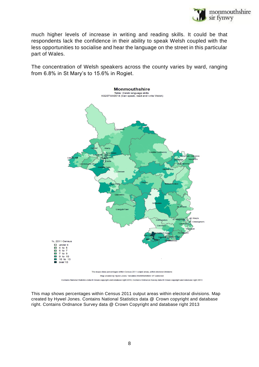

much higher levels of increase in writing and reading skills. It could be that respondents lack the confidence in their ability to speak Welsh coupled with the less opportunities to socialise and hear the language on the street in this particular part of Wales.

The concentration of Welsh speakers across the county varies by ward, ranging from 6.8% in St Mary's to 15.6% in Rogiet.



This map shows percentages within Census 2011 output areas within electoral divisions. Map created by Hywel Jones. Contains National Statistics data @ Crown copyright and database right. Contains Ordnance Survey data @ Crown Copyright and database right 2013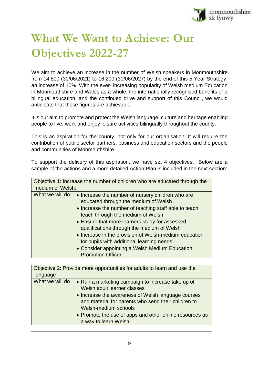

## <span id="page-9-0"></span>**What We Want to Achieve: Our Objectives 2022-27**

We aim to achieve an increase in the number of Welsh speakers in Monmouthshire from 14,800 (30/06/2021) to 16,200 (30/06/2027) by the end of this 5 Year Strategy, an increase of 10%. With the ever- increasing popularity of Welsh medium Education in Monmouthshire and Wales as a whole, the internationally recognised benefits of a bilingual education, and the continued drive and support of this Council, we would anticipate that these figures are achievable.

It is our aim to promote and protect the Welsh language, culture and heritage enabling people to live, work and enjoy leisure activities bilingually throughout the county.

This is an aspiration for the county, not only for our organisation. It will require the contribution of public sector partners, business and education sectors and the people and communities of Monmouthshire.

To support the delivery of this aspiration, we have set 4 objectives. Below are a sample of the actions and a more detailed Action Plan is included in the next section:

| Objective 1: Increase the number of children who are educated through the<br>medium of Welsh; |                                                                                                                                                                                                                                                                                                                                                                                                                                                                             |  |  |
|-----------------------------------------------------------------------------------------------|-----------------------------------------------------------------------------------------------------------------------------------------------------------------------------------------------------------------------------------------------------------------------------------------------------------------------------------------------------------------------------------------------------------------------------------------------------------------------------|--|--|
| What we will do                                                                               | • Increase the number of nursery children who are<br>educated through the medium of Welsh<br>• Increase the number of teaching staff able to teach<br>teach through the medium of Welsh<br>• Ensure that more learners study for assessed<br>qualifications through the medium of Welsh<br>• Increase in the provision of Welsh-medium education<br>for pupils with additional learning needs<br>• Consider appointing a Welsh Medium Education<br><b>Promotion Officer</b> |  |  |

| Objective 2: Provide more opportunities for adults to learn and use the                                                                                                                                                                                                                                                     |  |  |  |  |
|-----------------------------------------------------------------------------------------------------------------------------------------------------------------------------------------------------------------------------------------------------------------------------------------------------------------------------|--|--|--|--|
| language                                                                                                                                                                                                                                                                                                                    |  |  |  |  |
| What we will do<br>• Run a marketing campaign to increase take up of<br>Welsh adult learner classes<br>• Increase the awareness of Welsh language courses<br>and material for parents who send their children to<br>Welsh-medium schools<br>• Promote the use of apps and other online resources as<br>a way to learn Welsh |  |  |  |  |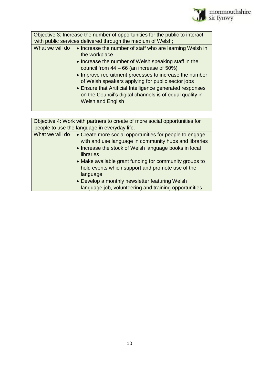

| Objective 3: Increase the number of opportunities for the public to interact<br>with public services delivered through the medium of Welsh; |                                                                                                                                                   |  |  |
|---------------------------------------------------------------------------------------------------------------------------------------------|---------------------------------------------------------------------------------------------------------------------------------------------------|--|--|
| What we will do                                                                                                                             | • Increase the number of staff who are learning Welsh in<br>the workplace                                                                         |  |  |
| • Increase the number of Welsh speaking staff in the<br>council from $44 - 66$ (an increase of 50%)                                         |                                                                                                                                                   |  |  |
|                                                                                                                                             | • Improve recruitment processes to increase the number<br>of Welsh speakers applying for public sector jobs                                       |  |  |
|                                                                                                                                             | • Ensure that Artificial Intelligence generated responses<br>on the Council's digital channels is of equal quality in<br><b>Welsh and English</b> |  |  |
|                                                                                                                                             |                                                                                                                                                   |  |  |

| Objective 4: Work with partners to create of more social opportunities for                                                                                                                                                                                                                                                                                                                                                                                                                     |  |  |  |
|------------------------------------------------------------------------------------------------------------------------------------------------------------------------------------------------------------------------------------------------------------------------------------------------------------------------------------------------------------------------------------------------------------------------------------------------------------------------------------------------|--|--|--|
|                                                                                                                                                                                                                                                                                                                                                                                                                                                                                                |  |  |  |
| people to use the language in everyday life.<br>What we will do<br>• Create more social opportunities for people to engage<br>with and use language in community hubs and libraries<br>• Increase the stock of Welsh language books in local<br>libraries<br>• Make available grant funding for community groups to<br>hold events which support and promote use of the<br>language<br>• Develop a monthly newsletter featuring Welsh<br>language job, volunteering and training opportunities |  |  |  |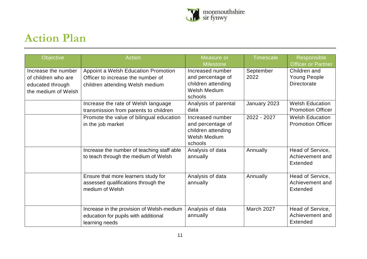

## **Action Plan**

<span id="page-11-0"></span>

| Objective                                                                             | <b>Action</b>                                                                                               | Measure or<br><b>Milestone</b>                                                                | <b>Timescale</b>  | Responsible<br><b>Officer or Partner</b>                  |
|---------------------------------------------------------------------------------------|-------------------------------------------------------------------------------------------------------------|-----------------------------------------------------------------------------------------------|-------------------|-----------------------------------------------------------|
| Increase the number<br>of children who are<br>educated through<br>the medium of Welsh | Appoint a Welsh Education Promotion<br>Officer to increase the number of<br>children attending Welsh medium | Increased number<br>and percentage of<br>children attending<br><b>Welsh Medium</b><br>schools | September<br>2022 | Children and<br><b>Young People</b><br><b>Directorate</b> |
|                                                                                       | Increase the rate of Welsh language<br>transmission from parents to children                                | Analysis of parental<br>data                                                                  | January 2023      | <b>Welsh Education</b><br><b>Promotion Officer</b>        |
|                                                                                       | Promote the value of bilingual education<br>in the job market                                               | Increased number<br>and percentage of<br>children attending<br><b>Welsh Medium</b><br>schools | 2022 - 2027       | <b>Welsh Education</b><br><b>Promotion Officer</b>        |
|                                                                                       | Increase the number of teaching staff able<br>to teach through the medium of Welsh                          | Analysis of data<br>annually                                                                  | Annually          | Head of Service,<br>Achievement and<br>Extended           |
|                                                                                       | Ensure that more learners study for<br>assessed qualifications through the<br>medium of Welsh               | Analysis of data<br>annually                                                                  | Annually          | Head of Service,<br>Achievement and<br>Extended           |
|                                                                                       | Increase in the provision of Welsh-medium<br>education for pupils with additional<br>learning needs         | Analysis of data<br>annually                                                                  | March 2027        | Head of Service,<br>Achievement and<br>Extended           |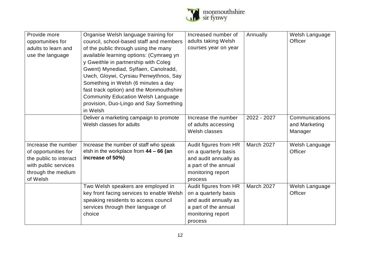

| Provide more           | Organise Welsh language training for      | Increased number of   | Annually    | Welsh Language |
|------------------------|-------------------------------------------|-----------------------|-------------|----------------|
| opportunities for      | council, school-based staff and members   | adults taking Welsh   |             | Officer        |
| adults to learn and    | of the public through using the many      | courses year on year  |             |                |
| use the language       | available learning options: (Cymraeg yn   |                       |             |                |
|                        | y Gweithle in partnership with Coleg      |                       |             |                |
|                        | Gwent) Mynediad, Sylfaen, Canolradd,      |                       |             |                |
|                        | Uwch, Gloywi, Cyrsiau Penwythnos, Say     |                       |             |                |
|                        | Something in Welsh (6 minutes a day       |                       |             |                |
|                        | fast track option) and the Monmouthshire  |                       |             |                |
|                        | <b>Community Education Welsh Language</b> |                       |             |                |
|                        | provision, Duo-Lingo and Say Something    |                       |             |                |
|                        | in Welsh                                  |                       |             |                |
|                        | Deliver a marketing campaign to promote   | Increase the number   | 2022 - 2027 | Communications |
|                        | Welsh classes for adults                  | of adults accessing   |             | and Marketing  |
|                        |                                           | Welsh classes         |             |                |
|                        |                                           |                       |             | Manager        |
| Increase the number    | Increase the number of staff who speak    | Audit figures from HR | March 2027  | Welsh Language |
| of opportunities for   | elsh in the workplace from $44 - 66$ (an  | on a quarterly basis  |             | Officer        |
| the public to interact | increase of 50%)                          | and audit annually as |             |                |
| with public services   |                                           | a part of the annual  |             |                |
| through the medium     |                                           | monitoring report     |             |                |
| of Welsh               |                                           | process               |             |                |
|                        | Two Welsh speakers are employed in        | Audit figures from HR | March 2027  | Welsh Language |
|                        | key front facing services to enable Welsh | on a quarterly basis  |             | Officer        |
|                        | speaking residents to access council      | and audit annually as |             |                |
|                        | services through their language of        | a part of the annual  |             |                |
|                        | choice                                    | monitoring report     |             |                |
|                        |                                           | process               |             |                |
|                        |                                           |                       |             |                |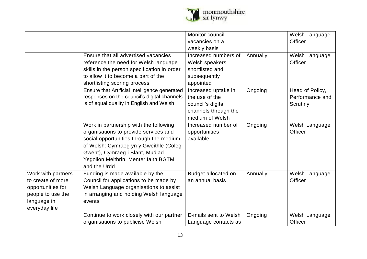

|                    |                                               | Monitor council       |          | Welsh Language  |
|--------------------|-----------------------------------------------|-----------------------|----------|-----------------|
|                    |                                               | vacancies on a        |          | Officer         |
|                    |                                               | weekly basis          |          |                 |
|                    | Ensure that all advertised vacancies          | Increased numbers of  | Annually | Welsh Language  |
|                    | reference the need for Welsh language         | Welsh speakers        |          | Officer         |
|                    | skills in the person specification in order   | shortlisted and       |          |                 |
|                    | to allow it to become a part of the           | subsequently          |          |                 |
|                    | shortlisting scoring process                  | appointed             |          |                 |
|                    | Ensure that Artificial Intelligence generated | Increased uptake in   | Ongoing  | Head of Policy, |
|                    | responses on the council's digital channels   | the use of the        |          | Performance and |
|                    | is of equal quality in English and Welsh      | council's digital     |          | Scrutiny        |
|                    |                                               | channels through the  |          |                 |
|                    |                                               | medium of Welsh       |          |                 |
|                    | Work in partnership with the following        | Increased number of   | Ongoing  | Welsh Language  |
|                    | organisations to provide services and         | opportunities         |          | Officer         |
|                    | social opportunities through the medium       | available             |          |                 |
|                    | of Welsh: Cymraeg yn y Gweithle (Coleg        |                       |          |                 |
|                    | Gwent), Cymraeg i Blant, Mudiad               |                       |          |                 |
|                    | Ysgolion Meithrin, Menter laith BGTM          |                       |          |                 |
|                    | and the Urdd                                  |                       |          |                 |
| Work with partners | Funding is made available by the              | Budget allocated on   | Annually | Welsh Language  |
| to create of more  | Council for applications to be made by        | an annual basis       |          | Officer         |
| opportunities for  | Welsh Language organisations to assist        |                       |          |                 |
| people to use the  | in arranging and holding Welsh language       |                       |          |                 |
| language in        | events                                        |                       |          |                 |
| everyday life      |                                               |                       |          |                 |
|                    | Continue to work closely with our partner     | E-mails sent to Welsh | Ongoing  | Welsh Language  |
|                    | organisations to publicise Welsh              | Language contacts as  |          | Officer         |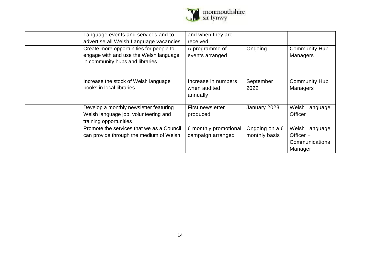

| Language events and services and to<br>advertise all Welsh Language vacancies                                        | and when they are<br>received                   |                                 |                                                          |
|----------------------------------------------------------------------------------------------------------------------|-------------------------------------------------|---------------------------------|----------------------------------------------------------|
| Create more opportunities for people to<br>engage with and use the Welsh language<br>in community hubs and libraries | A programme of<br>events arranged               | Ongoing                         | <b>Community Hub</b><br><b>Managers</b>                  |
| Increase the stock of Welsh language<br>books in local libraries                                                     | Increase in numbers<br>when audited<br>annually | September<br>2022               | <b>Community Hub</b><br><b>Managers</b>                  |
| Develop a monthly newsletter featuring<br>Welsh language job, volunteering and<br>training opportunities             | First newsletter<br>produced                    | January 2023                    | Welsh Language<br><b>Officer</b>                         |
| Promote the services that we as a Council<br>can provide through the medium of Welsh                                 | 6 monthly promotional<br>campaign arranged      | Ongoing on a 6<br>monthly basis | Welsh Language<br>Officer +<br>Communications<br>Manager |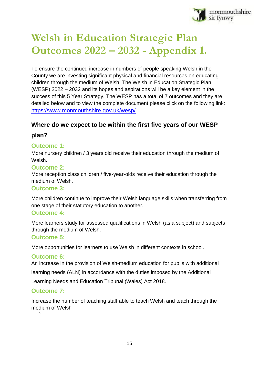

## <span id="page-15-0"></span>**Welsh in Education Strategic Plan Outcomes 2022 – 2032 - Appendix 1.**

To ensure the continued increase in numbers of people speaking Welsh in the County we are investing significant physical and financial resources on educating children through the medium of Welsh. The Welsh in Education Strategic Plan (WESP) 2022 – 2032 and its hopes and aspirations will be a key element in the success of this 5 Year Strategy. The WESP has a total of 7 outcomes and they are detailed below and to view the complete document please click on the following link: <https://www.monmouthshire.gov.uk/wesp/>

#### **Where do we expect to be within the first five years of our WESP**

#### **plan?**

#### **Outcome 1:**

More nursery children / 3 years old receive their education through the medium of Welsh**.**

#### **Outcome 2:**

More reception class children / five-year-olds receive their education through the medium of Welsh.

#### **Outcome 3:**

More children continue to improve their Welsh language skills when transferring from one stage of their statutory education to another.

#### **Outcome 4:**

More learners study for assessed qualifications in Welsh (as a subject) and subjects through the medium of Welsh.

#### **Outcome 5:**

More opportunities for learners to use Welsh in different contexts in school.

#### **Outcome 6:**

An increase in the provision of Welsh-medium education for pupils with additional learning needs (ALN) in accordance with the duties imposed by the Additional Learning Needs and Education Tribunal (Wales) Act 2018.

#### **Outcome 7:**

`

Increase the number of teaching staff able to teach Welsh and teach through the medium of Welsh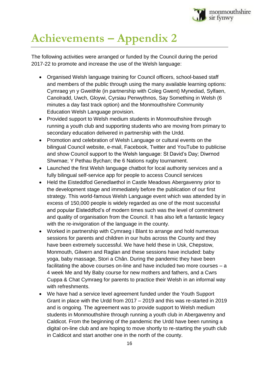

## <span id="page-16-0"></span>**Achievements – Appendix 2**

The following activities were arranged or funded by the Council during the period 2017-22 to promote and increase the use of the Welsh language:

- Organised Welsh language training for Council officers, school-based staff and members of the public through using the many available learning options: Cymraeg yn y Gweithle (in partnership with Coleg Gwent) Mynediad, Sylfaen, Canolradd, Uwch, Gloywi, Cyrsiau Penwythnos, Say Something in Welsh (6 minutes a day fast track option) and the Monmouthshire Community Education Welsh Language provision.
- Provided support to Welsh medium students in Monmouthshire through running a youth club and supporting students who are moving from primary to secondary education delivered in partnership with the Urdd.
- Promotion and celebration of Welsh Language or cultural events on the bilingual Council website, e-mail, Facebook, Twitter and YouTube to publicise and show Council support to the Welsh language: St David's Day; Diwrnod Shwmae; Y Pethau Bychan; the 6 Nations rugby tournament.
- Launched the first Welsh language chatbot for local authority services and a fully bilingual self-service app for people to access Council services
- Held the Eisteddfod Genedlaethol in Castle Meadows Abergavenny prior to the development stage and immediately before the publication of our first strategy. This world-famous Welsh Language event which was attended by in excess of 150,000 people is widely regarded as one of the most successful and popular Eisteddfod's of modern times such was the level of commitment and quality of organisation from the Council. It has also left a fantastic legacy with the re-invigoration of the language in the county.
- Worked in partnership with Cymraeg i Blant to arrange and hold numerous sessions for parents and children in our hubs across the County and they have been extremely successful. We have held these in Usk, Chepstow, Monmouth, Gilwern and Raglan and these sessions have included: baby yoga, baby massage, Stori a Chân. During the pandemic they have been facilitating the above courses on-line and have included two more courses – a 4 week Me and My Baby course for new mothers and fathers, and a Cwrs Cuppa & Chat Cymraeg for parents to practice their Welsh in an informal way with refreshments.
- We have had a service level agreement funded under the Youth Support Grant in place with the Urdd from 2017 – 2019 and this was re-started in 2019 and is ongoing. The agreement was to provide support to Welsh medium students in Monmouthshire through running a youth club in Abergavenny and Caldicot. From the beginning of the pandemic the Urdd have been running a digital on-line club and are hoping to move shortly to re-starting the youth club in Caldicot and start another one in the north of the county.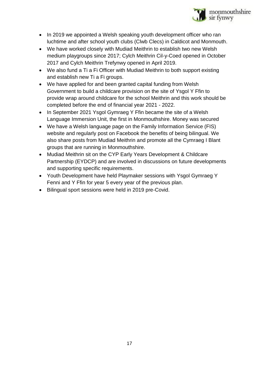

- In 2019 we appointed a Welsh speaking youth development officer who ran luchtime and after school youth clubs (Clwb Clecs) in Caldicot and Monmouth.
- We have worked closely with Mudiad Meithrin to establish two new Welsh medium playgroups since 2017; Cylch Meithrin Cil-y-Coed opened in October 2017 and Cylch Meithrin Trefynwy opened in April 2019.
- We also fund a Ti a Fi Officer with Mudiad Meithrin to both support existing and establish new Ti a Fi groups.
- We have applied for and been granted capital funding from Welsh Government to build a childcare provision on the site of Ysgol Y Ffin to provide wrap around childcare for the school Meithrin and this work should be completed before the end of financial year 2021 - 2022.
- In September 2021 Ysgol Gymraeg Y Ffin became the site of a Welsh Language Immersion Unit, the first in Monmouthshire. Money was secured
- We have a Welsh language page on the Family Information Service (FIS) website and regularly post on Facebook the benefits of being bilingual. We also share posts from Mudiad Meithrin and promote all the Cymraeg I Blant groups that are running in Monmouthshire.
- Mudiad Meithrin sit on the CYP Early Years Development & Childcare Partnership (EYDCP) and are involved in discussions on future developments and supporting specific requirements.
- Youth Development have held Playmaker sessions with Ysgol Gymraeg Y Fenni and Y Ffin for year 5 every year of the previous plan.
- Bilingual sport sessions were held in 2019 pre-Covid.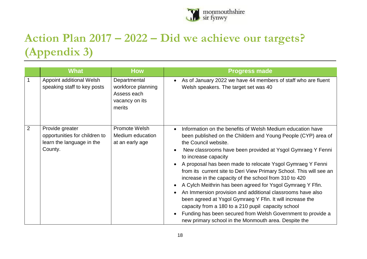

## **Action Plan 2017 – 2022 – Did we achieve our targets? (Appendix 3)**

<span id="page-18-0"></span>

|                | <b>What</b>                                                                              | <b>How</b>                                                                    | <b>Progress made</b>                                                                                                                                                                                                                                                                                                                                                                                                                                                                                                                                                                                                                                                                                                                                                                                           |
|----------------|------------------------------------------------------------------------------------------|-------------------------------------------------------------------------------|----------------------------------------------------------------------------------------------------------------------------------------------------------------------------------------------------------------------------------------------------------------------------------------------------------------------------------------------------------------------------------------------------------------------------------------------------------------------------------------------------------------------------------------------------------------------------------------------------------------------------------------------------------------------------------------------------------------------------------------------------------------------------------------------------------------|
| $\overline{1}$ | Appoint additional Welsh<br>speaking staff to key posts                                  | Departmental<br>workforce planning<br>Assess each<br>vacancy on its<br>merits | As of January 2022 we have 44 members of staff who are fluent<br>Welsh speakers. The target set was 40                                                                                                                                                                                                                                                                                                                                                                                                                                                                                                                                                                                                                                                                                                         |
| $\overline{2}$ | Provide greater<br>opportunities for children to<br>learn the language in the<br>County. | Promote Welsh<br>Medium education<br>at an early age                          | Information on the benefits of Welsh Medium education have<br>been published on the Childern and Young People (CYP) area of<br>the Council website.<br>New classrooms have been provided at Ysgol Gymraeg Y Fenni<br>to increase capacity<br>A proposal has been made to relocate Ysgol Gymraeg Y Fenni<br>from its current site to Deri View Primary School. This will see an<br>increase in the capacity of the school from 310 to 420<br>A Cylch Meithrin has been agreed for Ysgol Gymraeg Y Ffin.<br>An Immersion provision and additional classrooms have also<br>been agreed at Ysgol Gymraeg Y Ffin. It will increase the<br>capacity from a 180 to a 210 pupil capacity school<br>Funding has been secured from Welsh Government to provide a<br>new primary school in the Monmouth area. Despite the |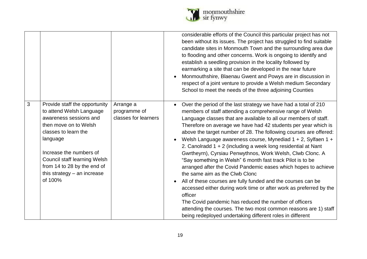

|                                                                                                                                                                                                                                                                                             |                                                   | considerable efforts of the Council this particular project has not<br>been without its issues. The project has struggled to find suitable<br>candidate sites in Monmouth Town and the surrounding area due<br>to flooding and other concerns. Work is ongoing to identify and<br>establish a seedling provision in the locality followed by<br>earmarking a site that can be developed in the near future<br>Monmouthshire, Blaenau Gwent and Powys are in discussion in<br>respect of a joint venture to provide a Welsh medium Secondary<br>School to meet the needs of the three adjoining Counties                                                                                                                                                                                                                                                                                                                                                                                                                                           |
|---------------------------------------------------------------------------------------------------------------------------------------------------------------------------------------------------------------------------------------------------------------------------------------------|---------------------------------------------------|---------------------------------------------------------------------------------------------------------------------------------------------------------------------------------------------------------------------------------------------------------------------------------------------------------------------------------------------------------------------------------------------------------------------------------------------------------------------------------------------------------------------------------------------------------------------------------------------------------------------------------------------------------------------------------------------------------------------------------------------------------------------------------------------------------------------------------------------------------------------------------------------------------------------------------------------------------------------------------------------------------------------------------------------------|
| 3<br>Provide staff the opportunity<br>to attend Welsh Language<br>awareness sessions and<br>then move on to Welsh<br>classes to learn the<br>language<br>Increase the numbers of<br>Council staff learning Welsh<br>from 14 to 28 by the end of<br>this strategy $-$ an increase<br>of 100% | Arrange a<br>programme of<br>classes for learners | Over the period of the last strategy we have had a total of 210<br>members of staff attending a comprehensive range of Welsh<br>Language classes that are available to all our members of staff.<br>Therefore on average we have had 42 students per year which is<br>above the target number of 28. The following courses are offered:<br>Welsh Language awareness course, Mynediad 1 + 2, Sylfaen 1 +<br>2. Canolradd 1 + 2 (including a week long residential at Nant<br>Gwrtheyrn), Cyrsiau Penwythnos, Work Welsh, Clwb Clonc. A<br>"Say something in Welsh" 6 month fast track Pilot is to be<br>arranged after the Covid Pandemic eases which hopes to achieve<br>the same aim as the Clwb Clonc<br>All of these courses are fully funded and the courses can be<br>accessed either during work time or after work as preferred by the<br>officer<br>The Covid pandemic has reduced the number of officers<br>attending the courses. The two most common reasons are 1) staff<br>being redeployed undertaking different roles in different |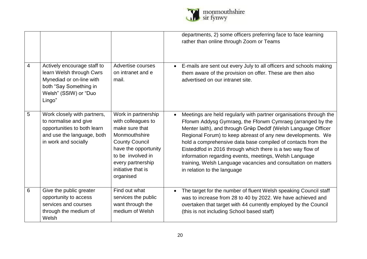

|   |                                                                                                                                                  |                                                                                                                                                                                                            | departments, 2) some officers preferring face to face learning<br>rather than online through Zoom or Teams                                                                                                                                                                                                                                                                                                                                                                                                                                                 |
|---|--------------------------------------------------------------------------------------------------------------------------------------------------|------------------------------------------------------------------------------------------------------------------------------------------------------------------------------------------------------------|------------------------------------------------------------------------------------------------------------------------------------------------------------------------------------------------------------------------------------------------------------------------------------------------------------------------------------------------------------------------------------------------------------------------------------------------------------------------------------------------------------------------------------------------------------|
| 4 | Actively encourage staff to<br>learn Welsh through Cwrs<br>Mynediad or on-line with<br>both "Say Something in<br>Welsh" (SSIW) or "Duo<br>Lingo" | Advertise courses<br>on intranet and e<br>mail.                                                                                                                                                            | E-mails are sent out every July to all officers and schools making<br>them aware of the provision on offer. These are then also<br>advertised on our intranet site.                                                                                                                                                                                                                                                                                                                                                                                        |
| 5 | Work closely with partners,<br>to normalise and give<br>opportunities to both learn<br>and use the language, both<br>in work and socially        | Work in partnership<br>with colleagues to<br>make sure that<br>Monmouthshire<br><b>County Council</b><br>have the opportunity<br>to be involved in<br>every partnership<br>initiative that is<br>organised | Meetings are held regularly with partner organisations through the<br>Fforwm Addysg Gymraeg, the Fforwm Cymraeg (arranged by the<br>Menter laith), and through Grŵp Deddf (Welsh Language Officer<br>Regional Forum) to keep abreast of any new developments. We<br>hold a comprehensive data base compiled of contacts from the<br>Eisteddfod in 2016 through which there is a two way flow of<br>information regarding events, meetings, Welsh Language<br>training, Welsh Language vacancies and consultation on matters<br>in relation to the language |
| 6 | Give the public greater<br>opportunity to access<br>services and courses<br>through the medium of<br>Welsh                                       | Find out what<br>services the public<br>want through the<br>medium of Welsh                                                                                                                                | The target for the number of fluent Welsh speaking Council staff<br>$\bullet$<br>was to increase from 28 to 40 by 2022. We have achieved and<br>overtaken that target with 44 currently employed by the Council<br>(this is not including School based staff)                                                                                                                                                                                                                                                                                              |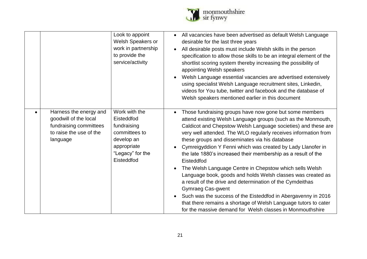

|                                                                                                                  | Look to appoint<br><b>Welsh Speakers or</b><br>work in partnership<br>to provide the<br>service/activity                   | All vacancies have been advertised as default Welsh Language<br>desirable for the last three years<br>All desirable posts must include Welsh skills in the person<br>specification to allow those skills to be an integral element of the<br>shortlist scoring system thereby increasing the possibility of<br>appointing Welsh speakers<br>Welsh Language essential vacancies are advertised extensively<br>using specialist Welsh Language recruitment sites, Linkedin,<br>videos for You tube, twitter and facebook and the database of<br>Welsh speakers mentioned earlier in this document                                                                                                                                                                                                                                                                                 |
|------------------------------------------------------------------------------------------------------------------|----------------------------------------------------------------------------------------------------------------------------|---------------------------------------------------------------------------------------------------------------------------------------------------------------------------------------------------------------------------------------------------------------------------------------------------------------------------------------------------------------------------------------------------------------------------------------------------------------------------------------------------------------------------------------------------------------------------------------------------------------------------------------------------------------------------------------------------------------------------------------------------------------------------------------------------------------------------------------------------------------------------------|
| Harness the energy and<br>goodwill of the local<br>fundraising committees<br>to raise the use of the<br>language | Work with the<br>Eisteddfod<br>fundraising<br>committees to<br>develop an<br>appropriate<br>"Legacy" for the<br>Eisteddfod | Those fundraising groups have now gone but some members<br>attend existing Welsh Language groups (such as the Monmouth,<br>Caldicot and Chepstow Welsh Language societies) and these are<br>very well attended. The WLO regularly receives information from<br>these groups and disseminates via his database<br>Cymreigyddion Y Fenni which was created by Lady Llanofer in<br>the late 1880's increased their membership as a result of the<br>Eisteddfod<br>The Welsh Language Centre in Chepstow which sells Welsh<br>Language book, goods and holds Welsh classes was created as<br>a result of the drive and determination of the Cymdeithas<br><b>Gymraeg Cas-gwent</b><br>Such was the success of the Eisteddfod in Abergavenny in 2016<br>that there remains a shortage of Welsh Language tutors to cater<br>for the massive demand for Welsh classes in Monmouthshire |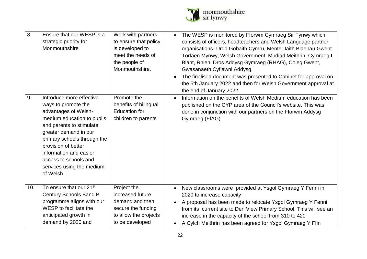

| 8.  | Ensure that our WESP is a<br>strategic priority for<br>Monmouthshire                                                                                                                                                                                                             | Work with partners<br>to ensure that policy<br>is developed to<br>meet the needs of<br>the people of<br>Monmouthshire. | The WESP is monitored by Fforwm Cymraeg Sir Fynwy which<br>$\bullet$<br>consists of officers, headteachers and Welsh Language partner<br>organisations- Urdd Gobaith Cymru, Menter Iaith Blaenau Gwent<br>Torfaen Mynwy, Welsh Government, Mudiad Meithrin, Cymraeg I<br>Blant, Rhieni Dros Addysg Gymraeg (RHAG), Coleg Gwent,<br>Gwasanaeth Cyflawni Addysg.<br>The finalised document was presented to Cabinet for approval on |
|-----|----------------------------------------------------------------------------------------------------------------------------------------------------------------------------------------------------------------------------------------------------------------------------------|------------------------------------------------------------------------------------------------------------------------|-----------------------------------------------------------------------------------------------------------------------------------------------------------------------------------------------------------------------------------------------------------------------------------------------------------------------------------------------------------------------------------------------------------------------------------|
| 9.  | Introduce more effective                                                                                                                                                                                                                                                         | Promote the                                                                                                            | the 5th January 2022 and then for Welsh Government approval at<br>the end of January 2022.<br>Information on the benefits of Welsh Medium education has been<br>$\bullet$                                                                                                                                                                                                                                                         |
|     | ways to promote the<br>advantages of Welsh-<br>medium education to pupils<br>and parents to stimulate<br>greater demand in our<br>primary schools through the<br>provision of better<br>information and easier<br>access to schools and<br>services using the medium<br>of Welsh | benefits of bilingual<br><b>Education for</b><br>children to parents                                                   | published on the CYP area of the Council's website. This was<br>done in conjunction with our partners on the Fforwm Addysg<br>Gymraeg (FfAG)                                                                                                                                                                                                                                                                                      |
| 10. | To ensure that our 21 <sup>st</sup><br><b>Century Schools Band B</b><br>programme aligns with our<br>WESP to facilitate the<br>anticipated growth in<br>demand by 2020 and                                                                                                       | Project the<br>increased future<br>demand and then<br>secure the funding<br>to allow the projects<br>to be developed   | New classrooms were provided at Ysgol Gymraeg Y Fenni in<br>$\bullet$<br>2020 to increase capacity<br>A proposal has been made to relocate Ysgol Gymraeg Y Fenni<br>from its current site to Deri View Primary School. This will see an<br>increase in the capacity of the school from 310 to 420<br>A Cylch Meithrin has been agreed for Ysgol Gymraeg Y Ffin<br>$\bullet$                                                       |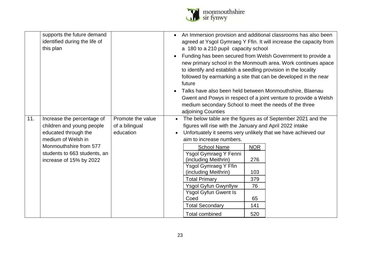

|     | supports the future demand<br>identified during the life of<br>this plan                                                                                                                   |                                                  | An Immersion provision and additional classrooms has also been<br>agreed at Ysgol Gymraeg Y Ffin. It will increase the capacity from<br>a 180 to a 210 pupil capacity school<br>Funding has been secured from Welsh Government to provide a<br>new primary school in the Monmouth area. Work continues apace<br>to identify and establish a seedling provision in the locality<br>followed by earmarking a site that can be developed in the near<br>future<br>Talks have also been held between Monmouthshire, Blaenau<br>Gwent and Powys in respect of a joint venture to provide a Welsh<br>medium secondary School to meet the needs of the three<br>adjoining Counties |
|-----|--------------------------------------------------------------------------------------------------------------------------------------------------------------------------------------------|--------------------------------------------------|-----------------------------------------------------------------------------------------------------------------------------------------------------------------------------------------------------------------------------------------------------------------------------------------------------------------------------------------------------------------------------------------------------------------------------------------------------------------------------------------------------------------------------------------------------------------------------------------------------------------------------------------------------------------------------|
| 11. | Increase the percentage of<br>children and young people<br>educated through the<br>medium of Welsh in<br>Monmouthshire from 577<br>students to 663 students, an<br>increase of 15% by 2022 | Promote the value<br>of a bilingual<br>education | The below table are the figures as of September 2021 and the<br>$\bullet$<br>figures will rise with the January and April 2022 intake<br>Unfortuately it seems very unlikely that we have achieved our<br>aim to increase numbers.<br><b>School Name</b><br><b>NOR</b><br>Ysgol Gymraeg Y Fenni<br>(including Meithrin)<br>276<br>Ysgol Gymraeg Y Ffin<br>(including Meithrin)<br>103<br><b>Total Primary</b><br>379<br>Ysgol Gyfun Gwynllyw<br>76<br><b>Ysgol Gyfun Gwent Is</b><br>65<br>Coed<br><b>Total Secondary</b><br>141<br><b>Total combined</b><br>520                                                                                                            |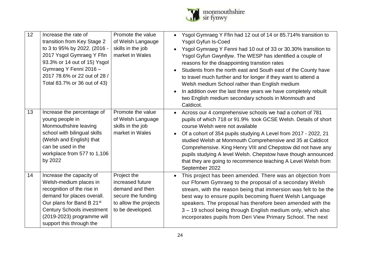

| 12 | Increase the rate of<br>transition from Key Stage 2<br>to 3 to 95% by 2022. (2016 -<br>2017 Ysgol Gymraeg Y Ffin<br>93.3% or 14 out of 15) Ysgol<br>Gymraeg Y Fenni 2016 -<br>2017 78.6% or 22 out of 28 /<br>Total 83.7% or 36 out of 43)             | Promote the value<br>of Welsh Langauge<br>skills in the job<br>market in Wales                                        | Ysgol Gymraeg Y Ffin had 12 out of 14 or 85.714% transition to<br><b>Ysgol Gyfun Is-Coed</b><br>Ysgol Gymraeg Y Fenni had 10 out of 33 or 30.30% transition to<br>Ysgol Gyfun Gwynllyw. The WESP has identified a couple of<br>reasons for the disappointing transtion rates<br>Students from the north east and South east of the County have<br>to travel much further and for longer if they want to attend a<br>Welsh medium School rather than English medium<br>In addition over the last three years we have completely rebuilt<br>two English medium secondary schools in Monmouth and<br>Caldicot. |
|----|--------------------------------------------------------------------------------------------------------------------------------------------------------------------------------------------------------------------------------------------------------|-----------------------------------------------------------------------------------------------------------------------|-------------------------------------------------------------------------------------------------------------------------------------------------------------------------------------------------------------------------------------------------------------------------------------------------------------------------------------------------------------------------------------------------------------------------------------------------------------------------------------------------------------------------------------------------------------------------------------------------------------|
| 13 | Increase the percentage of<br>young people in<br>Monmouthshire leaving<br>school with bilingual skills<br>(Welsh and English) that<br>can be used in the<br>workplace from 577 to 1,106<br>by 2022                                                     | Promote the value<br>of Welsh Language<br>skills in the job<br>market in Wales                                        | Across our 4 comprehensive schools we had a cohort of 781<br>$\bullet$<br>pupils of which 718 or 91.9% took GCSE Welsh. Details of short<br>course Welsh were not available<br>Of a cohort of 354 pupils studying A Level from 2017 - 2022, 21<br>studied Welsh at Monmouth Comprehensive and 35 at Caldicot<br>Comprehensive. King Henry VIII and Chepstow did not have any<br>pupils studying A level Welsh. Chepstow have though announced<br>that they are going to recommence teaching A Level Welsh from<br>September 2022                                                                            |
| 14 | Increase the capacity of<br>Welsh-medium places in<br>recognition of the rise in<br>demand for places overall.<br>Our plans for Band B 21 <sup>st</sup><br><b>Century Schools investment</b><br>(2019-2023) programme will<br>support this through the | Project the<br>increased future<br>demand and then<br>secure the funding<br>to allow the projects<br>to be developed. | This project has been amended. There was an objection from<br>$\bullet$<br>our Fforwm Gymraeg to the proposal of a secondary Welsh<br>stream, with the reason being that immersion was felt to be the<br>best way to ensure pupils becoming fluent Welsh Language<br>speakers. The proposal has therefore been amended with the<br>3 - 19 school being through English medium only, which also<br>incorporates pupils from Deri View Primary School. The next                                                                                                                                               |